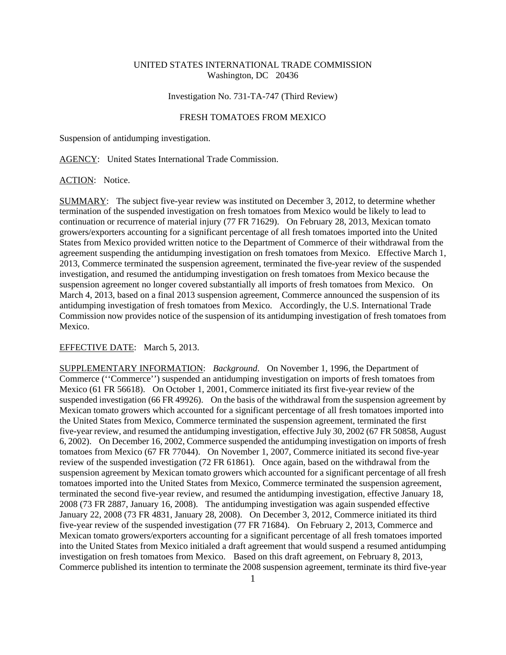# UNITED STATES INTERNATIONAL TRADE COMMISSION Washington, DC 20436

# Investigation No. 731-TA-747 (Third Review)

### FRESH TOMATOES FROM MEXICO

Suspension of antidumping investigation.

AGENCY: United States International Trade Commission.

### ACTION: Notice.

SUMMARY: The subject five-year review was instituted on December 3, 2012, to determine whether termination of the suspended investigation on fresh tomatoes from Mexico would be likely to lead to continuation or recurrence of material injury (77 FR 71629). On February 28, 2013, Mexican tomato growers/exporters accounting for a significant percentage of all fresh tomatoes imported into the United States from Mexico provided written notice to the Department of Commerce of their withdrawal from the agreement suspending the antidumping investigation on fresh tomatoes from Mexico. Effective March 1, 2013, Commerce terminated the suspension agreement, terminated the five-year review of the suspended investigation, and resumed the antidumping investigation on fresh tomatoes from Mexico because the suspension agreement no longer covered substantially all imports of fresh tomatoes from Mexico. On March 4, 2013, based on a final 2013 suspension agreement, Commerce announced the suspension of its antidumping investigation of fresh tomatoes from Mexico. Accordingly, the U.S. International Trade Commission now provides notice of the suspension of its antidumping investigation of fresh tomatoes from Mexico.

### EFFECTIVE DATE: March 5, 2013.

SUPPLEMENTARY INFORMATION: *Background*. On November 1, 1996, the Department of Commerce (''Commerce'') suspended an antidumping investigation on imports of fresh tomatoes from Mexico (61 FR 56618). On October 1, 2001, Commerce initiated its first five-year review of the suspended investigation (66 FR 49926). On the basis of the withdrawal from the suspension agreement by Mexican tomato growers which accounted for a significant percentage of all fresh tomatoes imported into the United States from Mexico, Commerce terminated the suspension agreement, terminated the first five-year review, and resumed the antidumping investigation, effective July 30, 2002 (67 FR 50858, August 6, 2002). On December 16, 2002, Commerce suspended the antidumping investigation on imports of fresh tomatoes from Mexico (67 FR 77044). On November 1, 2007, Commerce initiated its second five-year review of the suspended investigation (72 FR 61861). Once again, based on the withdrawal from the suspension agreement by Mexican tomato growers which accounted for a significant percentage of all fresh tomatoes imported into the United States from Mexico, Commerce terminated the suspension agreement, terminated the second five-year review, and resumed the antidumping investigation, effective January 18, 2008 (73 FR 2887, January 16, 2008). The antidumping investigation was again suspended effective January 22, 2008 (73 FR 4831, January 28, 2008). On December 3, 2012, Commerce initiated its third five-year review of the suspended investigation (77 FR 71684). On February 2, 2013, Commerce and Mexican tomato growers/exporters accounting for a significant percentage of all fresh tomatoes imported into the United States from Mexico initialed a draft agreement that would suspend a resumed antidumping investigation on fresh tomatoes from Mexico. Based on this draft agreement, on February 8, 2013, Commerce published its intention to terminate the 2008 suspension agreement, terminate its third five-year